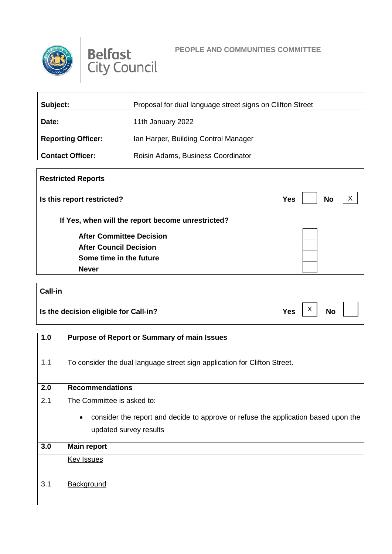



### **PEOPLE AND COMMUNITIES COMMITTEE**

| Subject:                  | Proposal for dual language street signs on Clifton Street |  |  |
|---------------------------|-----------------------------------------------------------|--|--|
| Date:                     | 11th January 2022                                         |  |  |
| <b>Reporting Officer:</b> | Ian Harper, Building Control Manager                      |  |  |
| <b>Contact Officer:</b>   | Roisin Adams, Business Coordinator                        |  |  |

# **Restricted Reports Is this report restricted? No No If Yes, when will the report become unrestricted? After Committee Decision After Council Decision Some time in the future Never**  $\vert x \vert$

# **Call-in Is the decision eligible for Call-in?**  $Yes \begin{bmatrix} X \\ Y \end{bmatrix}$  No X

| 1.0 | <b>Purpose of Report or Summary of main Issues</b>                                                                                                      |
|-----|---------------------------------------------------------------------------------------------------------------------------------------------------------|
| 1.1 | To consider the dual language street sign application for Clifton Street.                                                                               |
| 2.0 | <b>Recommendations</b>                                                                                                                                  |
| 2.1 | The Committee is asked to:<br>consider the report and decide to approve or refuse the application based upon the<br>$\bullet$<br>updated survey results |
| 3.0 | <b>Main report</b>                                                                                                                                      |
| 3.1 | <b>Key Issues</b><br>Background                                                                                                                         |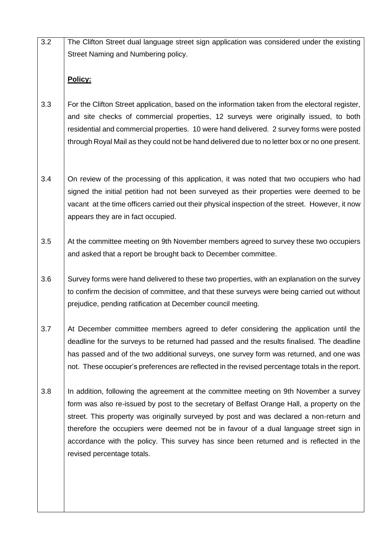3.2 The Clifton Street dual language street sign application was considered under the existing Street Naming and Numbering policy.

## **Policy:**

- 3.3 For the Clifton Street application, based on the information taken from the electoral register, and site checks of commercial properties, 12 surveys were originally issued, to both residential and commercial properties. 10 were hand delivered. 2 survey forms were posted through Royal Mail as they could not be hand delivered due to no letter box or no one present.
- 3.4 On review of the processing of this application, it was noted that two occupiers who had signed the initial petition had not been surveyed as their properties were deemed to be vacant at the time officers carried out their physical inspection of the street. However, it now appears they are in fact occupied.
- 3.5 At the committee meeting on 9th November members agreed to survey these two occupiers and asked that a report be brought back to December committee.
- 3.6 Survey forms were hand delivered to these two properties, with an explanation on the survey to confirm the decision of committee, and that these surveys were being carried out without prejudice, pending ratification at December council meeting.
- 3.7 At December committee members agreed to defer considering the application until the deadline for the surveys to be returned had passed and the results finalised. The deadline has passed and of the two additional surveys, one survey form was returned, and one was not. These occupier's preferences are reflected in the revised percentage totals in the report.
- 3.8 In addition, following the agreement at the committee meeting on 9th November a survey form was also re-issued by post to the secretary of Belfast Orange Hall, a property on the street. This property was originally surveyed by post and was declared a non-return and therefore the occupiers were deemed not be in favour of a dual language street sign in accordance with the policy. This survey has since been returned and is reflected in the revised percentage totals.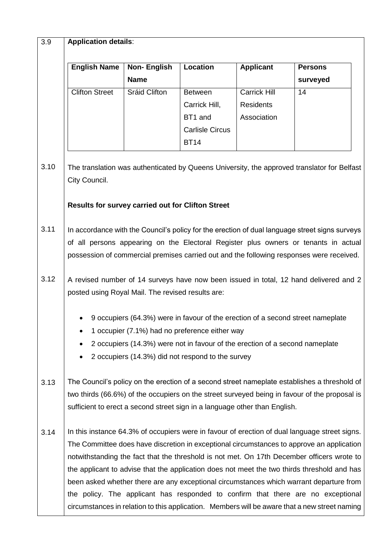#### 3.9 **Application details**:

| <b>English Name</b>   | <b>Non-English</b> | Location               | <b>Applicant</b>    | <b>Persons</b> |
|-----------------------|--------------------|------------------------|---------------------|----------------|
|                       | <b>Name</b>        |                        |                     | surveyed       |
| <b>Clifton Street</b> | Sráid Clifton      | <b>Between</b>         | <b>Carrick Hill</b> | 14             |
|                       |                    | Carrick Hill,          | <b>Residents</b>    |                |
|                       |                    | BT1 and                | Association         |                |
|                       |                    | <b>Carlisle Circus</b> |                     |                |
|                       |                    | <b>BT14</b>            |                     |                |
|                       |                    |                        |                     |                |

3.10 The translation was authenticated by Queens University, the approved translator for Belfast City Council.

## **Results for survey carried out for Clifton Street**

- 3.11 In accordance with the Council's policy for the erection of dual language street signs surveys of all persons appearing on the Electoral Register plus owners or tenants in actual possession of commercial premises carried out and the following responses were received.
- 3.12 A revised number of 14 surveys have now been issued in total, 12 hand delivered and 2 posted using Royal Mail. The revised results are:
	- 9 occupiers (64.3%) were in favour of the erection of a second street nameplate
	- 1 occupier (7.1%) had no preference either way
	- 2 occupiers (14.3%) were not in favour of the erection of a second nameplate
	- 2 occupiers (14.3%) did not respond to the survey
- 3.13 The Council's policy on the erection of a second street nameplate establishes a threshold of two thirds (66.6%) of the occupiers on the street surveyed being in favour of the proposal is sufficient to erect a second street sign in a language other than English.
- 3.14 In this instance 64.3% of occupiers were in favour of erection of dual language street signs. The Committee does have discretion in exceptional circumstances to approve an application notwithstanding the fact that the threshold is not met. On 17th December officers wrote to the applicant to advise that the application does not meet the two thirds threshold and has been asked whether there are any exceptional circumstances which warrant departure from the policy. The applicant has responded to confirm that there are no exceptional circumstances in relation to this application. Members will be aware that a new street naming